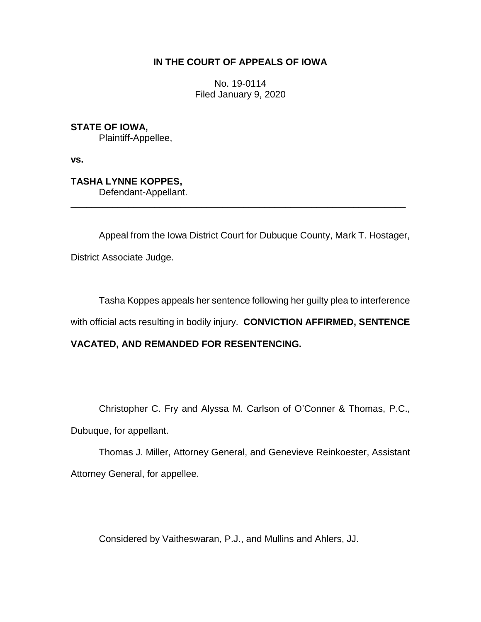### **IN THE COURT OF APPEALS OF IOWA**

No. 19-0114 Filed January 9, 2020

**STATE OF IOWA,** Plaintiff-Appellee,

**vs.**

**TASHA LYNNE KOPPES,** Defendant-Appellant.

Appeal from the Iowa District Court for Dubuque County, Mark T. Hostager, District Associate Judge.

\_\_\_\_\_\_\_\_\_\_\_\_\_\_\_\_\_\_\_\_\_\_\_\_\_\_\_\_\_\_\_\_\_\_\_\_\_\_\_\_\_\_\_\_\_\_\_\_\_\_\_\_\_\_\_\_\_\_\_\_\_\_\_\_

Tasha Koppes appeals her sentence following her guilty plea to interference

with official acts resulting in bodily injury. **CONVICTION AFFIRMED, SENTENCE** 

## **VACATED, AND REMANDED FOR RESENTENCING.**

Christopher C. Fry and Alyssa M. Carlson of O'Conner & Thomas, P.C.,

Dubuque, for appellant.

Thomas J. Miller, Attorney General, and Genevieve Reinkoester, Assistant Attorney General, for appellee.

Considered by Vaitheswaran, P.J., and Mullins and Ahlers, JJ.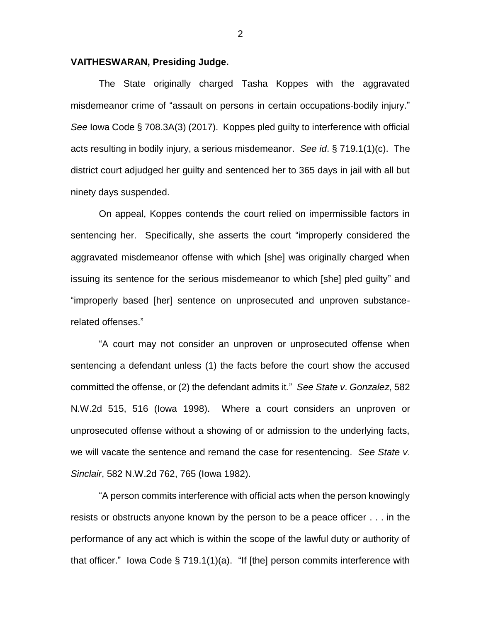#### **VAITHESWARAN, Presiding Judge.**

The State originally charged Tasha Koppes with the aggravated misdemeanor crime of "assault on persons in certain occupations-bodily injury." *See* Iowa Code § 708.3A(3) (2017). Koppes pled guilty to interference with official acts resulting in bodily injury, a serious misdemeanor. *See id*. § 719.1(1)(c). The district court adjudged her guilty and sentenced her to 365 days in jail with all but ninety days suspended.

On appeal, Koppes contends the court relied on impermissible factors in sentencing her. Specifically, she asserts the court "improperly considered the aggravated misdemeanor offense with which [she] was originally charged when issuing its sentence for the serious misdemeanor to which [she] pled guilty" and "improperly based [her] sentence on unprosecuted and unproven substancerelated offenses."

"A court may not consider an unproven or unprosecuted offense when sentencing a defendant unless (1) the facts before the court show the accused committed the offense, or (2) the defendant admits it." *See State v*. *Gonzalez*, 582 N.W.2d 515, 516 (Iowa 1998). Where a court considers an unproven or unprosecuted offense without a showing of or admission to the underlying facts, we will vacate the sentence and remand the case for resentencing. *See State v*. *Sinclair*, 582 N.W.2d 762, 765 (Iowa 1982).

"A person commits interference with official acts when the person knowingly resists or obstructs anyone known by the person to be a peace officer . . . in the performance of any act which is within the scope of the lawful duty or authority of that officer." Iowa Code § 719.1(1)(a). "If [the] person commits interference with

2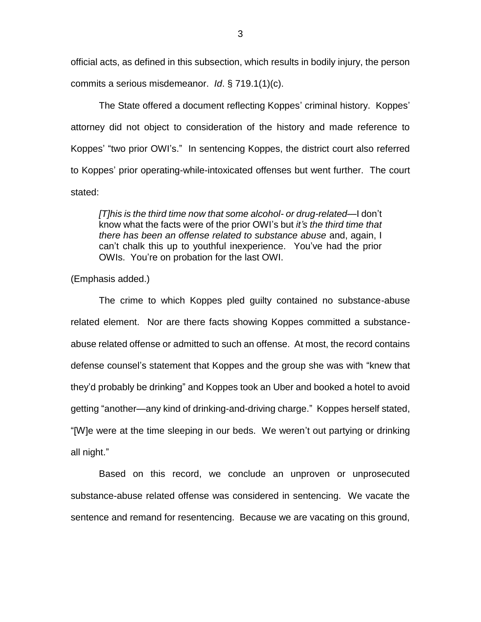official acts, as defined in this subsection, which results in bodily injury, the person commits a serious misdemeanor. *Id*. § 719.1(1)(c).

The State offered a document reflecting Koppes' criminal history. Koppes' attorney did not object to consideration of the history and made reference to Koppes' "two prior OWI's." In sentencing Koppes, the district court also referred to Koppes' prior operating-while-intoxicated offenses but went further. The court stated:

*[T]his is the third time now that some alcohol- or drug-related*—I don't know what the facts were of the prior OWI's but *it's the third time that there has been an offense related to substance abuse* and, again, I can't chalk this up to youthful inexperience. You've had the prior OWIs. You're on probation for the last OWI.

(Emphasis added.)

The crime to which Koppes pled guilty contained no substance-abuse related element. Nor are there facts showing Koppes committed a substanceabuse related offense or admitted to such an offense. At most, the record contains defense counsel's statement that Koppes and the group she was with "knew that they'd probably be drinking" and Koppes took an Uber and booked a hotel to avoid getting "another—any kind of drinking-and-driving charge." Koppes herself stated, "[W]e were at the time sleeping in our beds. We weren't out partying or drinking all night."

Based on this record, we conclude an unproven or unprosecuted substance-abuse related offense was considered in sentencing. We vacate the sentence and remand for resentencing. Because we are vacating on this ground,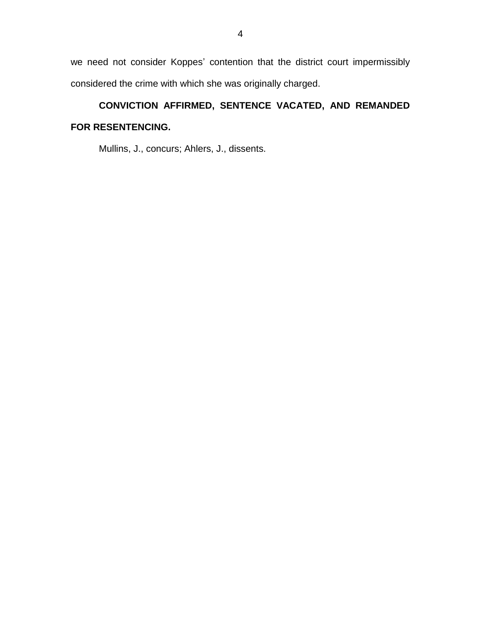we need not consider Koppes' contention that the district court impermissibly considered the crime with which she was originally charged.

# **CONVICTION AFFIRMED, SENTENCE VACATED, AND REMANDED FOR RESENTENCING.**

Mullins, J., concurs; Ahlers, J., dissents.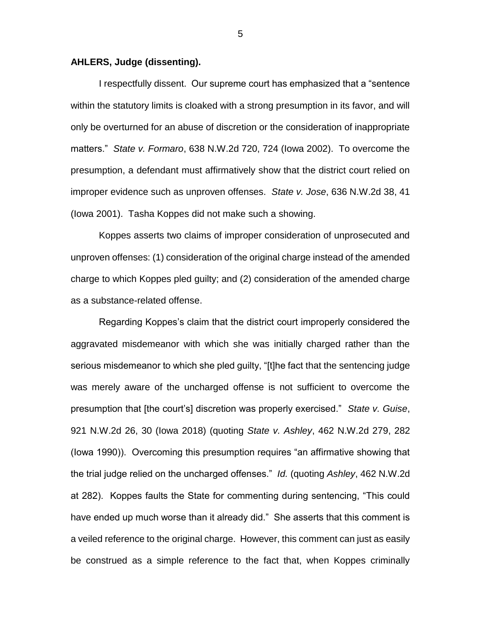#### **AHLERS, Judge (dissenting).**

I respectfully dissent. Our supreme court has emphasized that a "sentence within the statutory limits is cloaked with a strong presumption in its favor, and will only be overturned for an abuse of discretion or the consideration of inappropriate matters." *State v. Formaro*, 638 N.W.2d 720, 724 (Iowa 2002). To overcome the presumption, a defendant must affirmatively show that the district court relied on improper evidence such as unproven offenses. *State v. Jose*, 636 N.W.2d 38, 41 (Iowa 2001). Tasha Koppes did not make such a showing.

Koppes asserts two claims of improper consideration of unprosecuted and unproven offenses: (1) consideration of the original charge instead of the amended charge to which Koppes pled guilty; and (2) consideration of the amended charge as a substance-related offense.

Regarding Koppes's claim that the district court improperly considered the aggravated misdemeanor with which she was initially charged rather than the serious misdemeanor to which she pled guilty, "[t]he fact that the sentencing judge was merely aware of the uncharged offense is not sufficient to overcome the presumption that [the court's] discretion was properly exercised." *State v. Guise*, 921 N.W.2d 26, 30 (Iowa 2018) (quoting *State v. Ashley*, 462 N.W.2d 279, 282 (Iowa 1990)). Overcoming this presumption requires "an affirmative showing that the trial judge relied on the uncharged offenses." *Id.* (quoting *Ashley*, 462 N.W.2d at 282). Koppes faults the State for commenting during sentencing, "This could have ended up much worse than it already did." She asserts that this comment is a veiled reference to the original charge. However, this comment can just as easily be construed as a simple reference to the fact that, when Koppes criminally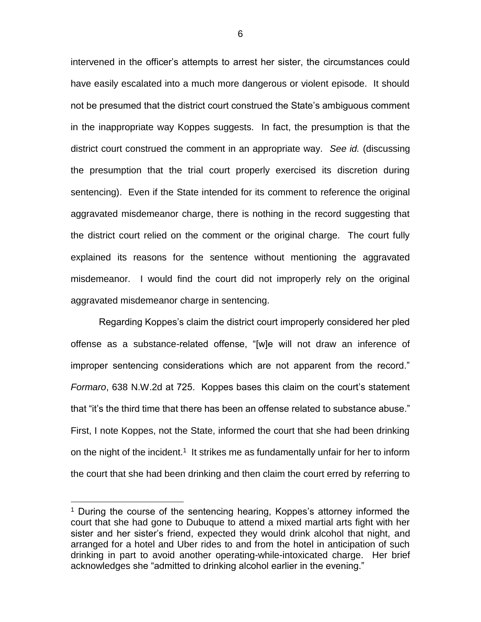intervened in the officer's attempts to arrest her sister, the circumstances could have easily escalated into a much more dangerous or violent episode. It should not be presumed that the district court construed the State's ambiguous comment in the inappropriate way Koppes suggests. In fact, the presumption is that the district court construed the comment in an appropriate way. *See id.* (discussing the presumption that the trial court properly exercised its discretion during sentencing). Even if the State intended for its comment to reference the original aggravated misdemeanor charge, there is nothing in the record suggesting that the district court relied on the comment or the original charge. The court fully explained its reasons for the sentence without mentioning the aggravated misdemeanor. I would find the court did not improperly rely on the original aggravated misdemeanor charge in sentencing.

Regarding Koppes's claim the district court improperly considered her pled offense as a substance-related offense, "[w]e will not draw an inference of improper sentencing considerations which are not apparent from the record." *Formaro*, 638 N.W.2d at 725. Koppes bases this claim on the court's statement that "it's the third time that there has been an offense related to substance abuse." First, I note Koppes, not the State, informed the court that she had been drinking on the night of the incident.<sup>1</sup> It strikes me as fundamentally unfair for her to inform the court that she had been drinking and then claim the court erred by referring to

 $\overline{a}$ 

<sup>&</sup>lt;sup>1</sup> During the course of the sentencing hearing, Koppes's attorney informed the court that she had gone to Dubuque to attend a mixed martial arts fight with her sister and her sister's friend, expected they would drink alcohol that night, and arranged for a hotel and Uber rides to and from the hotel in anticipation of such drinking in part to avoid another operating-while-intoxicated charge. Her brief acknowledges she "admitted to drinking alcohol earlier in the evening."